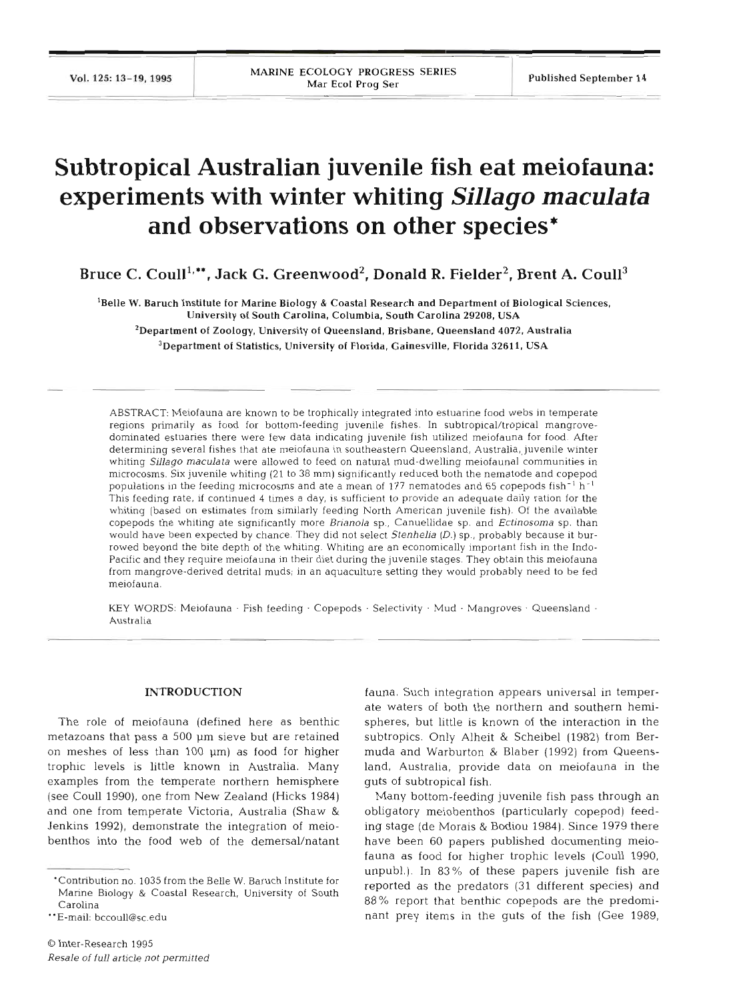# **Subtropical Australian juvenile fish eat meiofauna: experiments with winter whiting** *Sillago maculata*  **and observations on other species\***

Bruce C. Coull<sup>1,\*\*</sup>, Jack G. Greenwood<sup>2</sup>, Donald R. Fielder<sup>2</sup>, Brent A. Coull<sup>3</sup>

'Belle W. Baruch Institute for Marine Biology & Coastal Research and Department of Biological Sciences, University of South Carolina, Columbia. South Carolina **29208,** USA <sup>2</sup>Department of Zoology, University of Queensland, Brisbane, Queensland 4072, Australia

<sup>3</sup>Department of Statistics, University of Florida, Gainesville, Florida 32611, USA

ABSTRACT: Meiofauna are known to be trophically integrated into estuarine food webs in temperate regions primarily as food for bottom-feeding juvenile fishes. In subtropical/tropical mangrovedominated estuaries there were few data indicating juvenile fish utilized meiofauna for food. After determining several fishes that ate meiofauna in southeastern Queensland, Australia,,juvenile winter whiting *Sillago maculata* were allowed to feed on natural mud-dwelling meiofaunal communities in microcosms. Six juvenile whiting (21 to 38 mm) significantly reduced both the nematode and copepod populations in the feeding microcosms and ate a mean of 177 nematodes and 65 copepods fish-' h-' This feeding rate, if continued 4 times a day, is sufficient to provide an adequate daily ration for the whiting [based on estimates from similarly feeding North American juvenile fish). Of the available copepods the whiting ate significantly more *Brianola* sp., Canuellidae sp. and *Ectinosoma* sp. than would have been expected by chance. They did not select Stenhelia (D.) sp., probably because it burrowed beyond the bite depth of the whiting. Whiting are an economically important fish in the Indo-Pacific and they require meiofauna in their diet during the juvenile stages. They obtain this meiofauna from mangrove-derived detrital muds; in an aquaculture setting they would probably need to be fed meiofauna.

KEY WORDS: Meiofauna · Fish feeding · Copepods · Selectivity · Mud · Mangroves · Queensland · Australia

### **INTRODUCTION**

The role of meiofauna (defined here as benthic metazoans that pass a 500 um sieve but are retained on meshes of less than 100 µm) as food for higher trophic levels is little known in Australia. Many examples from the temperate northern hemisphere (see Coull 1990), one from New Zealand (Hicks 1984) and one from temperate Victoria, Australia (Shaw & Jenkins 1992), demonstrate the integration of meiobenthos into the food web of the demersal/natant fauna. Such integration appears universal in temperate waters of both the northern and southern hemispheres, but little is known of the interaction in the subtropics. Only Alheit & Scheibel (1982) from Bermuda and Warburton & Blaber (1992) from Queensland, Australia, provide data on meiofauna in the guts of subtropical fish.

Many bottom-feeding juvenile fish pass through an obligatory meiobenthos (particularly copepod) feeding stage (de Morais & Bodiou 1984). Since 1979 there have been 60 papers published documenting meiofauna as food for higher trophic levels (Coull 1990, unpubl.). In 83% of these papers juvenile fish are reported as the predators (31 different species) and 88% report that benthic copepods are the predominant prey items in the guts of the fish (Gee 1989,

<sup>&#</sup>x27;Contribution no. 1035 from the Belle W. Baruch Institute for Marine Biology & Coastal Research, University of South Carolina

<sup>&</sup>quot;E-mail: bccoull@sc.edu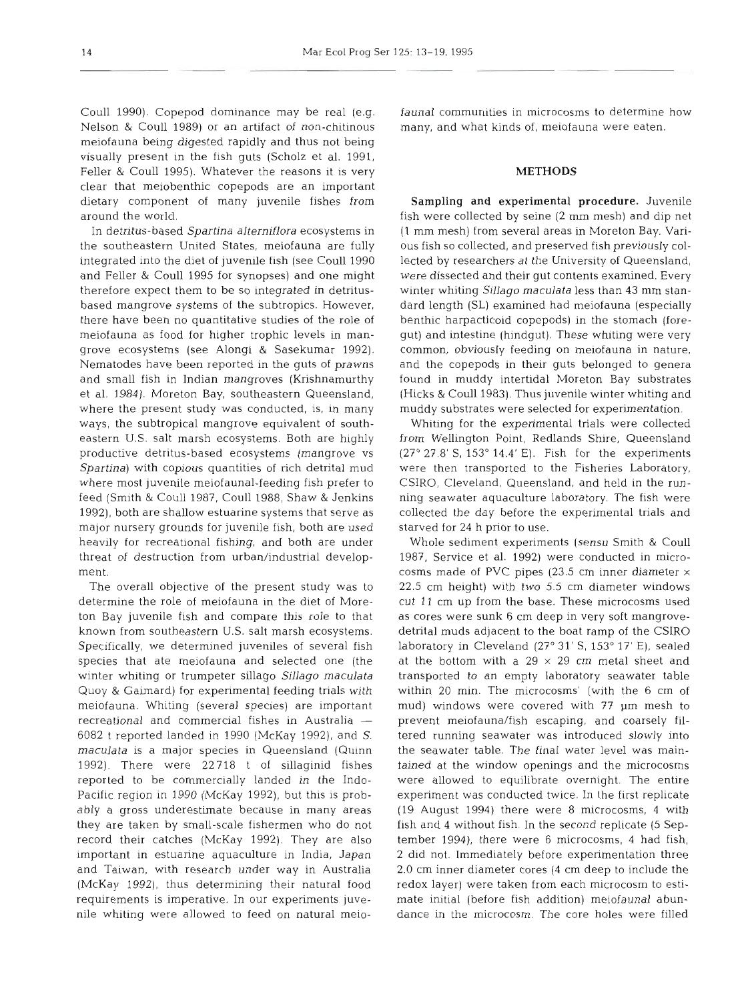Nelson & Coull 1989) or an artifact of non-chitinous many, and what kinds of, meiofauna were eaten. meiofauna being digested rapidly and thus not being visually present in the fish guts (Scholz et al. 1991, Feller & Coull 1995). Whatever the reasons it is very METHODS clear that meiobenthic copepods are an important dietary component of many juvenile fishes from Sampling and experimental procedure. Juvenile

the southeastern United States, meiofauna are fully ous fish so collected, and preserved fish previously colintegrated into the diet of juvenile fish (see Coull 1990 lected by researchers at the University of Queensland, and Feller & Coull 1995 for synopses) and one might were dissected and their gut contents examined. Every therefore expect them to be so integrated in detritus- winter whiting Sillago maculata less than 43 mm stanbased mangrove systems of the subtropics. However, dard length (SL) examined had meiofauna (especially there have been no quantitative studies of the role of benthic harpacticoid copepods) in the stomach (foremeiofauna as food for higher trophic levels in man- gut) and intestine (hindgut). These whiting were very grove ecosystems (see Alongi & Sasekumar 1992). common, obviously feeding on meiofauna in nature, Nematodes have been reported in the guts of prawns and the copepods in their guts belonged to genera and small fish in Indian mangroves (Krishnamurthy found in muddy intertidal Moreton Bay substrates et al. 1984). Moreton Bay, southeastern Queensland, (Hicks & Coull 1983). Thus juvenile winter whiting and where the present study was conducted, is, in many muddy substrates were selected for experimentation. ways, the subtropical mangrove equivalent of south- Whiting for the experimental trials were collected eastern U.S. salt marsh ecosystems. Both are highly from Wellington Point, Redlands Shire, Queensland productive detritus-based ecosystems (mangrove vs  $(27° 27.8' S, 153° 14.4' E)$ . Fish for the experiments Spartina) with copious quantities of rich detrital mud were then transported to the Fisheries Laboratory, where most juvenile meiofaunal-feeding fish prefer to CSIRO, Cleveland, Queensland, and held in the runfeed (Smith & Coull 1987, Coull 1988, Shaw & Jenkins ning seawater aquaculture laboratory. The fish were 1992), both are shallow estuarine systems that serve as collected the day before the experimental trials and major nursery grounds for juvenile fish, both are used starved for 24 h prior to use. heavily for recreational fishing, and both are under Whole sediment experiments (sensu Smith & Coull threat of destruction from urban/industrial develop- 1987, Service et al. 1992) were conducted in microment. **cosms made of PVC pipes (23.5 cm inner diameter**  $\times$ 

determine the role of meiofauna in the diet of More- cut 11 cm up from the base. These microcosms used ton Bay juvenile fish and compare this role to that as cores were sunk 6 cm deep in very soft mangroveknown from southeastern U.S. salt marsh ecosystems. detrital muds adjacent to the boat ramp of the CSIRO Specifically, we determined juveniles of several fish laboratory in Cleveland (27° 31' S, 153° 17' E), sealed species that ate meiofauna and selected one (the at the bottom with a  $29 \times 29$  cm metal sheet and winter whiting or trumpeter sillago Sillago maculata transported to an empty laboratory seawater table Quoy & Gaimard) for experimental feeding trials with within 20 min. The microcosms' (with the 6 cm of meiofauna. Whiting (several species) are important mud) windows were covered with 77 pm mesh to recreational and commercial fishes in Australia - prevent meiofauna/fish escaping, and coarsely fil-6082 t reported landed in 1990 (McKay 1992), and S. tered running seawater was introduced slowly into maculata is a major species in Queensland (Quinn the seawater table. The final water level was main-1992). There were 22718 t of sillaginid fishes tained at the window openings and the microcosms reported to be commercially landed in the Indo- were allowed to equilibrate overnight. The entire Pacific region in 1990 (McKay 1992), but this is prob- experiment was conducted twice. In the first replicate ably a gross underestimate because in many areas (19 August 1994) there were 8 microcosms, 4 with they are taken by small-scale fishermen who do not fish and 4 without fish. In the second replicate (5 Seprecord their catches (McKay 1992). They are also tember 1994), there were 6 microcosms, 4 had fish, important in estuarine aquaculture in India, Japan **2** did not. Immediately before experimentation three and Taiwan, with research under way in Australia 2.0 cm inner diameter cores (4 cm deep to include the (McKay 1992), thus determining their natural food redox layer) were taken from each microcosm to estirequirements is imperative. In our experiments juve- mate initial (before fish addition) meiofaunal abunnile whiting were allowed to feed on natural meio- dance in the microcosm. The core holes were filled

Coull 1990). Copepod dominance may be real (e.g. fauna1 communities in microcosms to determine how

around the world. fish were collected by seine (2 mm mesh) and dip net In detritus-based Spartina alterniflora ecosystems in (1 mm mesh) from several areas in Moreton Bay. Vari-

The overall objective of the present study was to 22.5 cm height) with two 5.5 cm diameter windows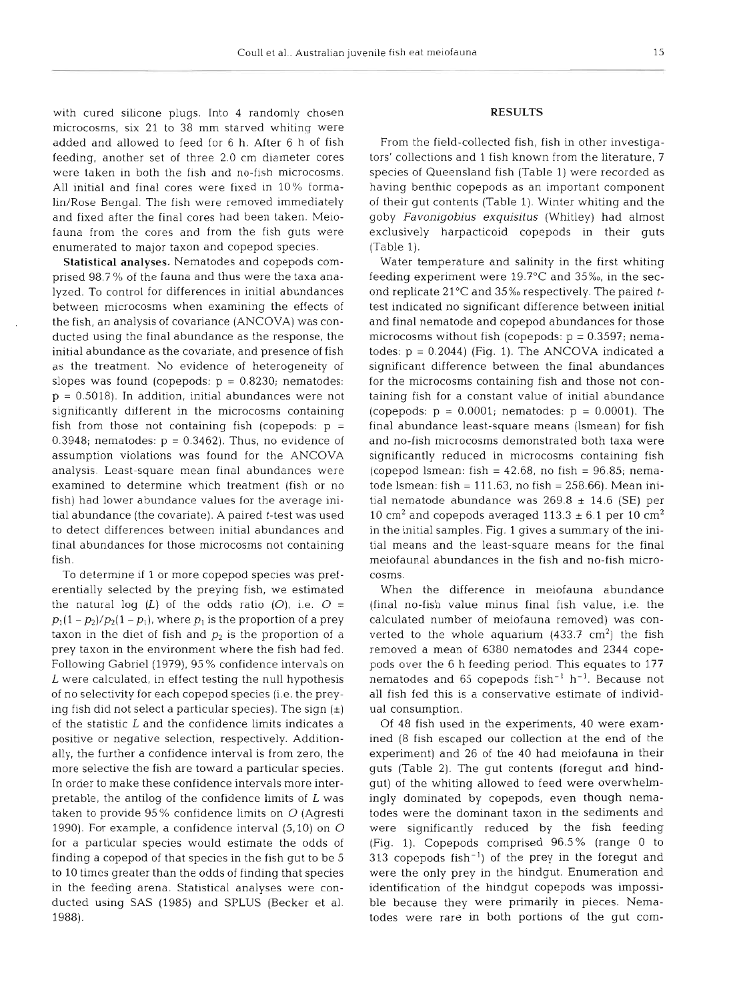with cured silicone plugs. Into 4 randomly chosen microcosms, six 21 to 38 mm starved whiting were added and allowed to feed for 6 h. After 6 h of fish feeding, another set of three 2.0 cm diameter cores were taken in both the fish and no-fish microcosms. All initial and final cores were fixed in 10% formalin/Rose Bengal. The fish were removed immediately and fixed after the final cores had been taken. Meiofauna from the cores and from the fish guts were enumerated to major taxon and copepod species.

Statistical analyses. Nematodes and copepods comprised 98.7 % of the fauna and thus were the taxa analyzed. To control for differences in initial abundances between microcosms when examining the effects of the fish, an analysis of covariance (ANCOVA) was conducted using the final abundance as the response, the initial abundance as the covariate, and presence of fish as the treatment. No evidence of heterogeneity of slopes was found (copepods:  $p = 0.8230$ ; nematodes:  $p = 0.5018$ ). In addition, initial abundances were not significantly different in the microcosms containing fish from those not containing fish (copepods:  $p =$  $0.3948$ ; nematodes:  $p = 0.3462$ ). Thus, no evidence of assumption violations was found for the ANCOVA analysis Least-square mean final abundances were examined to determine which treatment (fish or no fish) had lower abundance values for the average initial abundance (the covariate). A paired  $t$ -test was used to detect differences between initial abundances and final abundances for those microcosms not containing fish.

To determine if 1 or more copepod species was preferentially selected by the preying fish, we estimated the natural log  $(L)$  of the odds ratio  $(O)$ , i.e.  $O =$  $p_1(1-p_2)/p_2(1-p_1)$ , where  $p_1$  is the proportion of a prey taxon in the diet of fish and  $p_2$  is the proportion of a prey taxon in the environment where the fish had fed. Following Gabriel (1979), 95 % confidence intervals on L were calculated, in effect testing the null hypothesis of no selectivity for each copepod species (i.e. the preying fish did not select a particular species). The sign  $(\pm)$ of the statistic L and the confidence limits indicates a positive or negative selection, respectively. Additionally, the further a confidence interval is from zero, the more selective the fish are toward a particular species. In order to make these confidence intervals more interpretable, the antilog of the confidence limits of  $L$  was taken to provide  $95\%$  confidence limits on  $O$  (Agresti 1990). For example, a confidence interval  $(5,10)$  on  $O$ for a particular species would estimate the odds of finding a copepod of that species in the fish gut to be 5 to 10 times greater than the odds of finding that species in the feeding arena. Statistical analyses were conducted using SAS (1985) and SPLUS (Becker et al. 1988).

## RESULTS

From the field-collected fish, fish in other investigators' collections and 1 fish known from the literature, 7 species of Queensland fish (Table 1) were recorded as having benthic copepods as an important component of their gut contents (Table 1). Winter whiting and the goby *Favonigobius exquisitus* (Whitley) had almost exclusively harpacticoid copepods in their guts (Table 1).

Water temperature and salinity in the first whiting feeding experiment were  $19.7^{\circ}$ C and  $35\%$ , in the second replicate 21°C and 35%o respectively. The paired *t*test indicated no significant difference between initial and final nematode and copepod abundances for those microcosms without fish (copepods:  $p = 0.3597$ ; nematodes:  $p = 0.2044$ ) (Fig. 1). The ANCOVA indicated a significant difference between the final abundances for the microcosms containing fish and those not containing fish for a constant value of initial abundance (copepods:  $p = 0.0001$ ; nematodes:  $p = 0.0001$ ). The final abundance least-square means (lsmean) for fish and no-fish microcosms demonstrated both taxa were significantly reduced in microcosms containing fish (copepod lsmean: fish =  $42.68$ , no fish =  $96.85$ ; nematode lsmean: fish =  $111.63$ , no fish =  $258.66$ ). Mean initial nematode abundance was  $269.8 \pm 14.6$  (SE) per 10 cm<sup>2</sup> and copepods averaged 113.3  $\pm$  6.1 per 10 cm<sup>2</sup> in the initial samples. Fig. 1 gives a summary of the initial means and the least-square means for the final meiofaunal abundances in the fish and no-fish microcosms.

When the difference in meiofauna abundance (final no-fish value minus final fish value, i.e. the calculated number of meiofauna removed) was converted to the whole aquarium  $(433.7 \text{ cm}^2)$  the fish removed a mean of 6380 nematodes and 2344 copepods over the 6 h feeding period. This equates to 177 nematodes and 65 copepods  $fish^{-1}$   $h^{-1}$ . Because not all fish fed this is a conservative estimate of individual consumption.

Of 48 fish used in the experiments, 40 were examined (8 fish escaped our collection at the end of the experiment) and 26 of the 40 had meiofauna in their guts (Table 2). The gut contents (foregut and hindgut) of the whiting allowed to feed were overwhelmingly dominated by copepods, even though nematodes were the dominant taxon in the sediments and were significantly reduced by the fish feeding (Fig. 1). Copepods comprised 96.5% (range 0 to  $313$  copepods fish<sup>-1</sup>) of the prey in the foregut and were the only prey in the hindgut. Enumeration and identification of the hindgut copepods was impossible because they were primarily in pieces. Nematodes were rare in both portions of the gut com-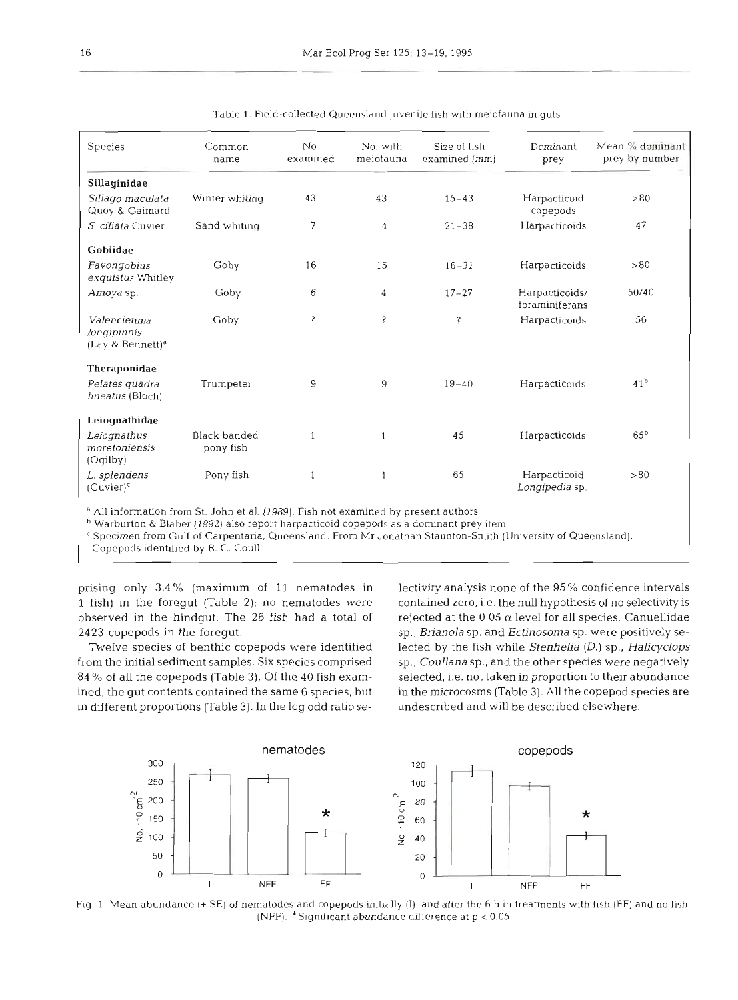| Species                                                     | Common<br>name                   | No.<br>examined | No. with<br>meiofauna | Size of fish<br>examined (mm) | Dominant<br>prey                 | Mean % dominant<br>prey by number |
|-------------------------------------------------------------|----------------------------------|-----------------|-----------------------|-------------------------------|----------------------------------|-----------------------------------|
| Sillaginidae                                                |                                  |                 |                       |                               |                                  |                                   |
| Sillago maculata<br>Quoy & Gaimard                          | Winter whiting                   | 43              | 43                    | $15 - 43$                     | Harpacticoid<br>copepods         | > 80                              |
| S. ciliata Cuvier                                           | Sand whiting                     | 7               | $\overline{4}$        | $21 - 38$                     | Harpacticoids                    | 47                                |
| Gobiidae                                                    |                                  |                 |                       |                               |                                  |                                   |
| Favongobius<br>exquistus Whitley                            | Goby                             | 16              | 15                    | $16 - 31$                     | Harpacticoids                    | > 80                              |
| Amoya sp.                                                   | Goby                             | 6               | 4                     | $17 - 27$                     | Harpacticoids/<br>foraminiferans | 50/40                             |
| Valenciennia<br>longipinnis<br>(Lay & Bennett) <sup>a</sup> | Goby                             | Ś               | Ś                     | Ş                             | Harpacticoids                    | 56                                |
| Theraponidae                                                |                                  |                 |                       |                               |                                  |                                   |
| Pelates quadra-<br>lineatus (Bloch)                         | Trumpeter                        | 9               | 9                     | $19 - 40$                     | Harpacticoids                    | 41 <sup>b</sup>                   |
| Leiognathidae                                               |                                  |                 |                       |                               |                                  |                                   |
| Leiognathus<br>moretoniensis<br>(Oqilby)                    | <b>Black banded</b><br>pony fish | $\mathbf{1}$    |                       | 45                            | Harpacticoids                    | $65^{\rm b}$                      |
| L. splendens<br>$(Cuvier)^c$                                | Pony fish                        | 1               | 1                     | 65                            | Harpacticoid<br>Longipedia sp.   | > 80                              |

Table 1. Field-collected Queensland juvenile fish with meiofauna in guts

<sup>a</sup> All information from St. John et al. (1989). Fish not examined by present authors

Warburton & Blaber (1992) also report harpacticoid copepods as a dominant prey item

**<sup>C</sup>**Specimen from Gulf of Carpentaria, Queensland. From Mr Jonathan Staunton-Smith (University of Queensland).

Copepods identified by B. C. Coull

prising only **3.4** % (maximum of **11** nematodes in 1 fish) in the foregut (Table 2); no nematodes were contained zero, i.e. the null hypothesis of no selectivity is observed in the hindgut. The 26 fish had a total of **2423** copepods in the foregut.

from the initial sediment samples. **Six** species comprised 84 % of all the copepods (Table **3).** Of the 40 fish examined, the gut contents contained the same 6 species, but in the microcosms (Table 3). All the copepod species are in different proportions (Table 3). In the log odd ratio se-

Twelve species of benthic copepods were identified lected by the fish while Stenhelia (D.) sp., Halicyclops wity analysis none of the 95% confidence intervals<br>ained zero, i.e. the null hypothesis of no selectivity is<br>cted at the  $0.05 \alpha$  level for all species. Canuellidae<br>*Brianola* sp. and *Ectinosoma* sp. were positively se-<br>



Fig. 1. Mean abundance (± SE) of nematodes and copepods initially (I), and after the 6 h in treatments with fish (FF) and no fish (NFF).  $*$ Significant abundance difference at  $p < 0.05$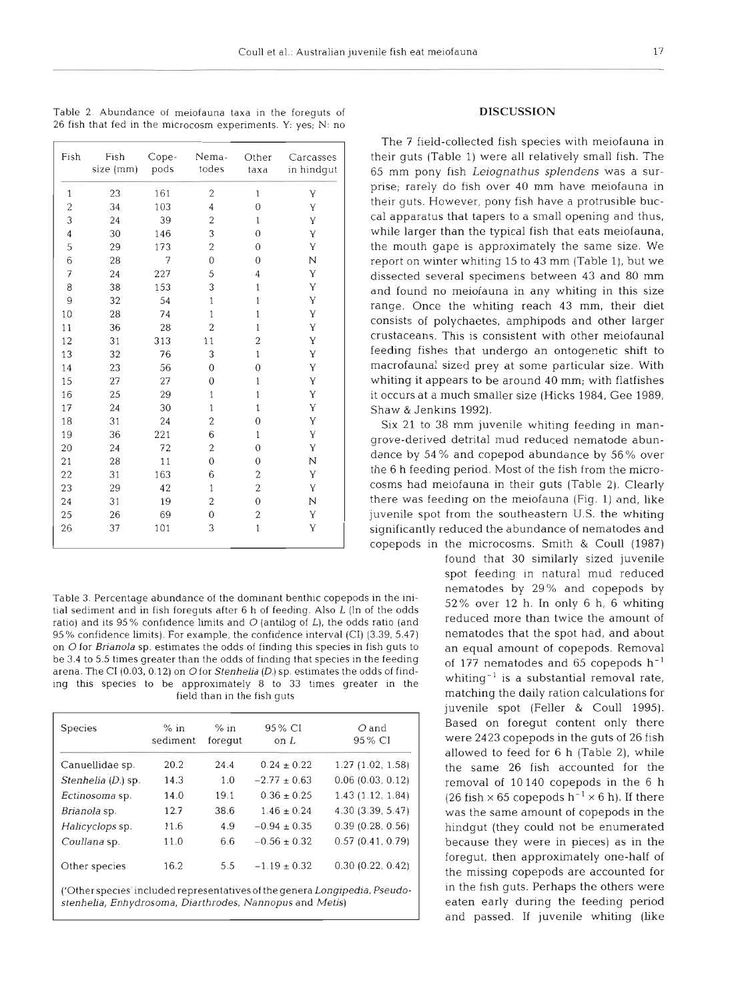| Fish           | Fish<br>size (mm) | Cope-<br>pods | Nema-<br>todes          | Other<br>taxa  | Carcasses<br>in hindgut |
|----------------|-------------------|---------------|-------------------------|----------------|-------------------------|
| $\mathbf{1}$   | 23                | 161           | $\overline{c}$          | $\mathbf 1$    | Y                       |
| $\overline{c}$ | 34                | 103           | 4                       | 0              | Y                       |
| 3              | 24                | 39            | $\overline{2}$          | 1              | Y                       |
| $\overline{4}$ | 30                | 146           | 3                       | $\theta$       | Y                       |
| 5              | 29                | 173           | $\overline{c}$          | $\theta$       | Υ                       |
| 6              | 28                | 7             | $\mathbf 0$             | $\overline{0}$ | N                       |
| 7              | 24                | 227           | 5                       | 4              | Y                       |
| 8              | 38                | 153           | 3                       | $\mathbf{1}$   | Y                       |
| 9              | 32                | 54            | $\mathbf 1$             | 1              | Y                       |
| 10             | 28                | 74            | $\mathbf 1$             | 1              | Y                       |
| 11             | 36                | 28            | $\overline{c}$          | 1              | Y                       |
| 12             | 31                | 313           | 11                      | $\overline{c}$ | Y                       |
| 13             | 32                | 76            | 3                       | $\mathbf{1}$   | Y                       |
| 14             | 23                | 56            | 0                       | $\overline{0}$ | Y                       |
| 15             | 27                | 27            | 0                       | $\mathbf{1}$   | Y                       |
| 16             | 25                | 29            | $\mathbf{1}$            | $\mathbf{1}$   | Y                       |
| 17             | 24                | 30            | $\,1$                   | $\mathbf{1}$   | Y                       |
| 18             | 31                | 24            | $\overline{c}$          | $\overline{0}$ | Y                       |
| 19             | 36                | 221           | 6                       | $\mathbf{1}$   | Y                       |
| 20             | 24                | 72            | $\overline{\mathbf{c}}$ | $\overline{0}$ | Y                       |
| 21             | 28                | 11            | $\mathbf{0}$            | $\mathbf{0}$   | N                       |
| 22             | 31                | 163           | 6                       | $\overline{c}$ | Y                       |
| 23             | 29                | 42            | $1\,$                   | $\overline{c}$ | Υ                       |
| 24             | 31                | 19            | 2                       | $\overline{0}$ | N                       |
| 25             | 26                | 69            | $\overline{0}$          | $\overline{c}$ | Y                       |
| 26             | 37                | 101           | 3                       | $\mathbf{1}$   | Y                       |

Table 2. Abundance of meiofauna taxa in the foreguts of 26 fish that fed in the microcosm experiments. Y: yes; N: no

tial sediment and in fish foreguts after 6 h of feeding. Also L (ln of the odds  $\frac{32}{8}$  over 12 h, in only 6 h, 6 whiting the order than twice the amount of ratio) and its 95% confidence limits and O (antilog of L), the odds ratio (and leduced more than twice the amount of<br>95% confidence limits). For example, the confidence interval (CI) (3.39, 5.47) leeduced that the spot had  $95%$  confidence limits). For example, the confidence interval (CI) (3.39, 5.47) on O for Brianola sp. estimates the odds of finding this species in fish guts to an equal amount of copepods. Removal be 3.4 to 5.5 times greater than the odds of finding that species in the feeding of 177 nematodes and 65 copepods  $h^{-1}$ arena. The **C1** (0.03.0.12) on Ofor Stenhelia (D.) sp. estimates the odds of findarena. The Cr (0.05, 0.12) on O for *Stemmena* (D.) sp. estimates the odus of find-<br>ing this species to be approximately 8 to 33 times greater in the whiting<sup>-1</sup> is a substantial removal rate, field than in the fish guts matching the daily ration calculations for

| <b>Species</b>                                                              | $%$ in<br>sediment | $%$ in<br>foregut | 95 % CI<br>on L  | $O$ and<br>95% CI |  |  |
|-----------------------------------------------------------------------------|--------------------|-------------------|------------------|-------------------|--|--|
| Canuellidae sp.                                                             | 20.2               | 24.4              | $0.24 \pm 0.22$  | 1.27(1.02, 1.58)  |  |  |
| Stenhelia (D.) sp.                                                          | 14.3               | 1.0               | $-2.77 \pm 0.63$ | 0.06(0.03, 0.12)  |  |  |
| Ectinosoma sp.                                                              | 14.0               | 19.1              | $0.36 + 0.25$    | 1.43(1.12, 1.84)  |  |  |
| Brianola sp.                                                                | 12.7               | 38.6              | $1.46 \pm 0.24$  | 4.30 (3.39, 5.47) |  |  |
| Halicyclops sp.                                                             | 11.6               | 4.9               | $-0.94 \pm 0.35$ | 0.39(0.28, 0.56)  |  |  |
| Coullana sp.                                                                | 11.0               | 6.6               | $-0.56 \pm 0.32$ | 0.57(0.41, 0.79)  |  |  |
| Other species                                                               | 16.2               | 5.5               | $-1.19 \pm 0.32$ | 0.30(0.22, 0.42)  |  |  |
| ('Other species' included representatives of the genera Longipedia, Pseudo- |                    |                   |                  |                   |  |  |

stenhelia, Enhydrosoma, Diarthrodes, Nannopus and Metis)

# **DISCUSSION**

The 7 field-collected fish species with meiofauna in their guts (Table 1) were all relatively small fish. The 65 mm pony fish Leiognathus splendens was a surprise; rarely do flsh over 40 mm have meiofauna in their guts. However, pony fish have a protrusible buccal apparatus that tapers to a small opening and thus, while larger than the typical fish that eats meiofauna, the mouth gape is approximately the same size. We report on winter whiting 15 to 43 mm (Table l), but we dissected several specimens between 43 and 80 mm and found no meiofauna in any whiting in this size range. Once the whiting reach 43 mm, their diet consists of polychaetes, amphipods and other larger crustaceans. This is consistent with other meiofaunal feeding fishes that undergo an ontogenetic shift to macrofaunal sized prey at some particular size. With whiting it appears to be around 40 mm; with flatfishes it occurs at a much smaller size (Hicks 1984, Gee 1989, Shaw & Jenkins 1992).

Six 21 to 38 mm juvenile whiting feeding in mangrove-derived detrital mud reduced nematode abundance by 54 % and copepod abundance by 56% over the 6 h feeding period. Most of the fish from the microcosms had meiofauna in their guts (Table 2). Clearly there was feeding on the meiofauna (Fig. 1) and, like juvenile spot from the southeastern U.S. the whiting significantly reduced the abundance of nematodes and copepods in the microcosms. Smith & Coull (1987)

found that 30 similarly sized juvenile spot feeding in natural mud reduced nematodes by 29% and copepods by<br>Table 3. Percentage abundance of the dominant benthic copepods in the ini-<br> $52\%$  over 12 h. In only 6 h, 6 whiting juvenile spot (Feller & Coull 1995). Based on foregut content only there were 2423 copepods in the guts of 26 fish allowed to feed for 6 h (Table 2), while the same 26 fish accounted for the removal of 10 140 copepods in the 6 h (26 fish  $\times$  65 copepods h<sup>-1</sup>  $\times$  6 h). If there was the same amount of copepods in the hindgut (they could not be enumerated because they were in pieces) as in the foregut, then approximately one-half of the missing copepods are accounted for in the fish guts. Perhaps the others were eaten early during the feeding period and passed. If juvenile whiting (like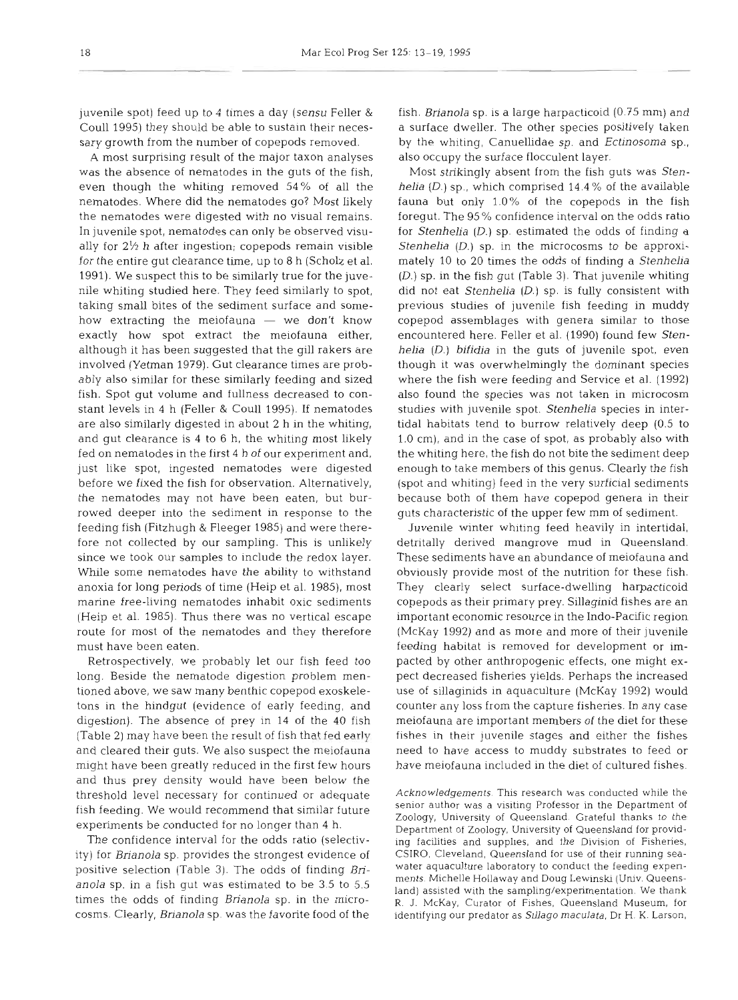juvenile spot) feed up to 4 times a day (sensu Feller & Coull 1995) they should be able to sustain their necessary growth from the number of copepods removed.

A most surprising result of the major taxon analyses was the absence of nematodes in the guts of the fish, even though the whiting removed 54% of all the nematodes. Where did the nematodes go? Most likely the nematodes were digested with no visual remains. In juvenile spot, nematodes can only be observed visually for  $2\frac{1}{2}$  h after ingestion; copepods remain visible for the entire gut clearance time, up to 8 h (Scholz et al. 1991). We suspect this to be similarly true for the juvenile whiting studied here. They feed similarly to spot, taking small bites of the sediment surface and somehow extracting the meiofauna  $-$  we don't know exactly how spot extract the meiofauna either, although it has been suggested that the gill rakers are involved (Yetman 1979). Gut clearance times are probably also similar for these similarly feeding and sized fish. Spot gut volume and fullness decreased to constant levels in 4 h (Feller & Coull 1995). If nematodes are also similarly digested in about 2 h in the whiting, and gut clearance is 4 to 6 h, the whiting most likely fed on nematodes in the first 4 h of our experiment and, just like spot, ingested nematodes were digested before we fixed the fish for observation. Alternatively, the nematodes may not have been eaten, but burrowed deeper into the sediment in response to the feeding fish (Fitzhugh & Fleeger 1985) and were therefore not collected by our sampling. This is unlikely since we took our samples to include the redox layer. While some nematodes have the ability to withstand anoxia for long periods of time (Heip et al. 1985), most marine free-living nematodes inhabit oxic sediments (Heip et al. 1985). Thus there was no vertical escape route for most of the nematodes and they therefore must have been eaten.

Retrospectively, we probably let our fish feed too long. Beside the nematode digestion problem mentioned above, we saw many benthic copepod exoskeletons in the hindgut (evidence of early feeding, and digestion). The absence of prey in 14 of the 40 fish (Table 2) may have been the result of fish that fed early and cleared their guts. We also suspect the meiofauna might have been greatly reduced in the first few hours and thus prey density would have been below the threshold level necessary for continued or adequate Acknowledgements. This research was conducted while the

ity) for Brianola sp. provides the strongest evidence of CSIRO, Cleveland, Queensland for use of their running seacosms. Clearly, Brianola sp. was the favorite food of the identifying our predator as *Srllago* maculata. Dr H. K. Larson,

fish. Brianola sp. is a large harpacticoid (0.75 mm) and a surface dweller. The other species positively taken by the whiting, Canuellidae sp. and Ectinosoma sp., also occupy the surface flocculent layer.

Most strikingly absent from the fish guts was Stenhelia (D.) sp., which comprised 14.4 % of the available fauna but only 1.0% of the copepods in the fish foregut. The 95 % confidence interval on the odds ratio for Stenhelia (D.) sp, estimated the odds of finding a Stenhelia (D.) sp. in the microcosms to be approximately 10 to 20 times the odds of finding a Stenhelia  $(D.)$  sp, in the fish gut (Table 3). That juvenile whiting did not eat Stenhelia  $(D.)$  sp. is fully consistent with previous studies of juvenile fish feeding in muddy copepod assemblages with genera similar to those encountered here. Feller et al. (1990) found few Stenhelia (D.) bifidia in the guts of juvenile spot, even though it was overwhelmingly the dominant species where the fish were feeding and Service et al. (1992) also found the species was not taken in microcosm studies with juvenile spot. Stenhelia species in intertidal habitats tend to burrow relatively deep (0.5 to 1.0 cm), and in the case of spot, as probably also with the whiting here, the fish do not bite the sediment deep enough to take members of this genus. Clearly the fish (spot and whiting) feed in the very surficial sediments because both of them have copepod, genera in their guts characteristic of the upper few mm of sediment.

Juvenile winter whiting feed heavily in intertidal, detritally derived mangrove mud in Queensland. These sediments have an abundance of meiofauna and obviously provide most of the nutrition for these fish. They clearly select surface-dwelling harpacticoid copepods as their primary prey. Sillaginid fishes are an important economic resource in the Indo-Pacific region (McKay 1992) and as more and more of their juvenile feeding habitat is removed for development or impacted by other anthropogenic effects, one might expect decreased fisheries yields. Perhaps the increased use of sillaginids in aquaculture (McKay 1992) would counter any loss from the capture fisheries. In any case meiofauna are important members of the diet for these fishes in their juvenile stages and either the fishes need to have access to muddy substrates to feed or have meiofauna included in the diet of cultured fishes.

fish feeding. We would recommend that similar future senior author was a visiting Professor in the Department of Ecology, University of Queensland. Grateful thanks to the experiments be conducted for no longer than 4 h.<br>Th The confidence interval for the odds ratio (selectiv- ing facilities and supplies, and the Division of Fisheries, positive selection (Table 3). The odds of finding *Bri* water aquaculture laboratory to conduct the feeding expen-<br>anola sp. in a fish gut was estimated to be 3.5 to 5.5<br>times the odds of finding *Brianola* sp. in the micr